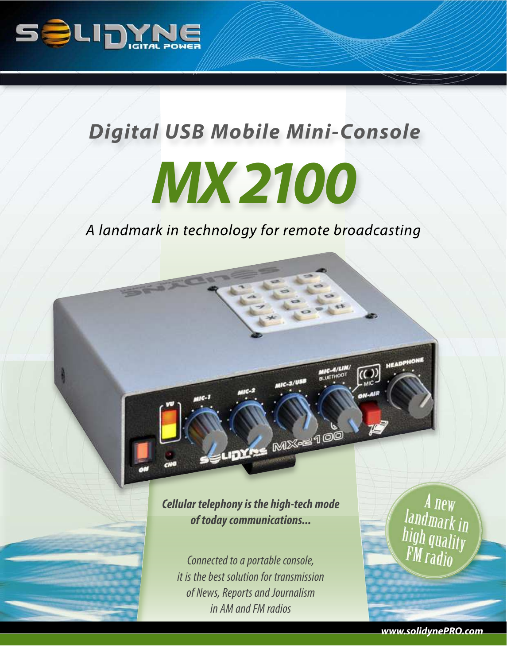

# *Digital USB Mobile Mini-Console*

# *MX 2100*

A landmark in technology for remote broadcasting

**Cellular telephony is the high-tech mode of today communications...**

**LIDYAS MX-S100** 

Connected to a portable console, *it is the best solution for transmission of News, Reports and Journalism in AM and FM radios*

A new<br>Iandmark in<br>high quality<br>FM radio

**www.solidynePRO.com**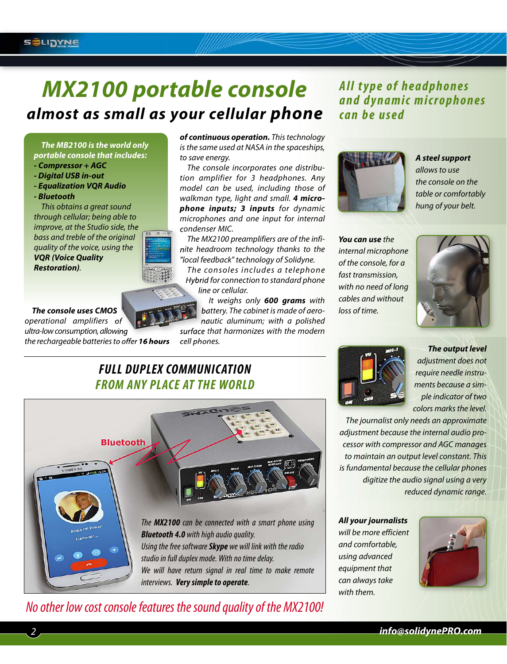# *MX2100 portable console almost as small as your cellular phone*

*The MB2100 is the world only portable console that includes:*

- *Compressor + AGC*
- *Digital USB in-out*
- *Equalization VQR Audio*
- *Bluetooth*

2

This obtains a great sound through cellular; being able to improve, at the Studio side, the bass and treble of the original quality of the voice, using the *VQR (Voice Quality Restoration)*.

*The console uses CMOS* operational amplifiers of ultra-low consumption, allowing the rechargeable batteries to offer *16 hours* *of continuous operation.* This technology is the same used at NASA in the spaceships, to save energy.

The console incorporates one distribution amplifier for 3 headphones. Any model can be used, including those of walkman type, light and small. *4 microphone inputs; 3 inputs* for dynamic microphones and one input for internal condenser MIC.

The MX2100 preamplifiers are of the infinite headroom technology thanks to the "local feedback" technology of Solidyne.

The consoles includes a telephone Hybrid for connection to standard phone line or cellular.

> It weighs only *600 grams* with battery. The cabinet is made of aeronautic aluminum; with a polished

surface that harmonizes with the modern cell phones.

## **All type of headphones a n d d y n a m i c m i c r o p h o n e s** can be used



#### *A steel support* allows to use

the console on the table or comfortably hung of your belt.

*You can use* the internal microphone of the console, for a fast transmission, with no need of long cables and without loss of time.



## **FULL DUPLEX COMMUNICATION FROM ANY PLACE AT THE WORLD**



# *No other low cost console features the sound quality of the MX2100!*



*The output level* adjustment does not require needle instruments because a simple indicator of two colors marks the level.

The journalist only needs an approximate adjustment because the internal audio processor with compressor and AGC manages to maintain an output level constant. This is fundamental because the cellular phones digitize the audio signal using a very reduced dynamic range.

*All your journalists* will be more efficient and comfortable, using advanced equipment that can always take with them.

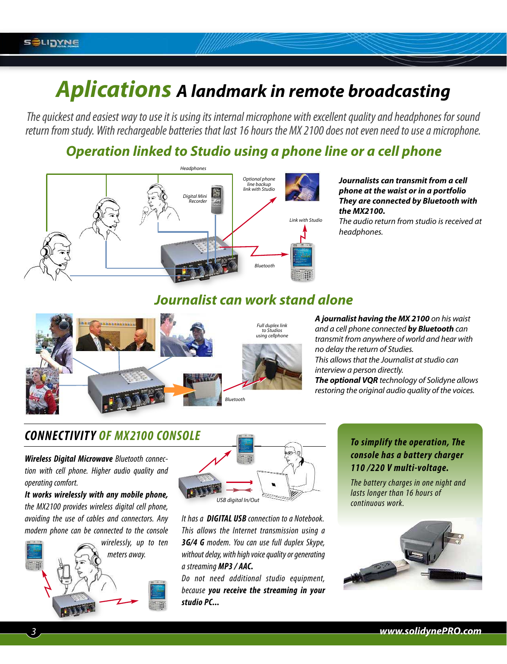# *Aplications A landmark in remote broadcasting*

*The quickest and easiest way to use it is using its internal microphone with excellent quality and headphones for sound return from study. With rechargeable batteries that last 16 hours the MX 2100 does not even need to use a microphone.* 

# *Operation linked to Studio using a phone line or a cell phone*



#### *Journalists can transmit from a cell phone at the waist or in a portfolio They are connected by Bluetooth with the MX2100.*

The audio return from studio is received at headphones.

## *Journalist can work stand alone*



*A journalist having the MX 2100* on his waist and a cell phone connected *by Bluetooth* can transmit from anywhere of world and hear with no delay the return of Studies. This allows that the Journalist at studio can interview a person directly. *The optional VQR* technology of Solidyne allows restoring the original audio quality of the voices.

# **CONNECTIVITY OF MX2100 CONSOLE**

**Wireless Digital Microwave** *Bluetooth connection with cell phone. Higher audio quality and operating comfort.* 

**It works wirelessly with any mobile phone,** *the MX2100 provides wireless digital cell phone, avoiding the use of cables and connectors. Any modern phone can be connected to the console*





*It has a* **DIGITAL USB** *connection to a Notebook. This allows the Internet transmission using a* **3G/4 G** *modem. You can use full duplex Skype, without delay, with high voice quality or generating a streaming* **MP3 / AAC.**

*Do not need additional studio equipment, because* **you receive the streaming in your studio PC...** 

#### **To simplify the operation, The console has a battery charger 110 /220 V multi-voltage.**

*The battery charges in one night and lasts longer than 16 hours of continuous work.*

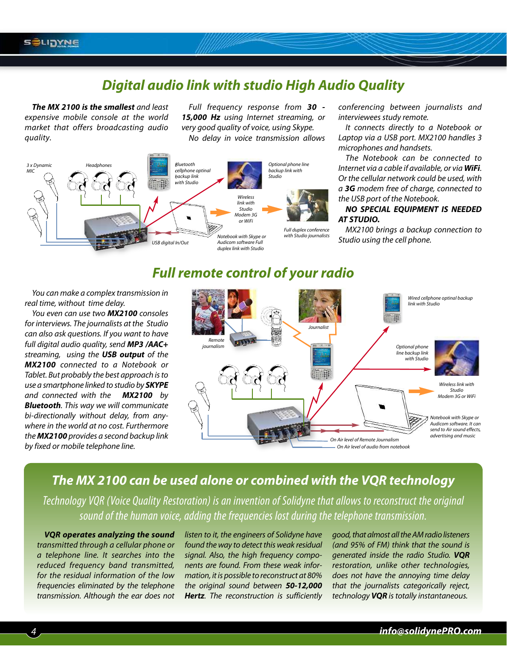#### **S SLIDYNE**

# *Digital audio link with studio High Audio Quality*

*The MX 2100 is the smallest* and least expensive mobile console at the world market that offers broadcasting audio quality.

Full frequency response from *30 - 15,000 Hz* using Internet streaming, or very good quality of voice, using Skype. No delay in voice transmission allows



conferencing between journalists and interviewees study remote.

It connects directly to a Notebook or Laptop via a USB port. MX2100 handles 3 microphones and handsets.

The Notebook can be connected to Internet via a cable if available, or via *WiFi*. Or the cellular network could be used, with a *3G* modem free of charge, connected to the USB port of the Notebook.

*NO SPECIAL EQUIPMENT IS NEEDED AT STUDIO.*

MX2100 brings a backup connection to Studio using the cell phone.

## *Full remote control of your radio*

You can make a complex transmission in real time, without time delay.

You even can use two *MX2100* consoles for interviews. The journalists at the Studio can also ask questions. If you want to have full digital audio quality, send *MP3 /AAC+* streaming, using the *USB output* of the *MX2100* connected to a Notebook or Tablet. But probably the best approach is to use a smartphone linked to studio by *SKYPE* and connected with the *MX2100* by *Bluetooth*. This way we will communicate bi-directionally without delay, from anywhere in the world at no cost. Furthermore the *MX2100* provides a second backup link by fixed or mobile telephone line.



### *The MX 2100 can be used alone or combined with the VQR technology*

*Technology VQR (Voice Quality Restoration) is an invention of Solidyne that allows to reconstruct the original sound of the human voice, adding the frequencies lost during the telephone transmission.* 

*VQR operates analyzing the sound* transmitted through a cellular phone or a telephone line. It searches into the reduced frequency band transmitted, for the residual information of the low frequencies eliminated by the telephone transmission. Although the ear does not listen to it, the engineers of Solidyne have found the way to detect this weak residual signal. Also, the high frequency components are found. From these weak information, it is possible to reconstruct at 80% the original sound between *50-12,000* **Hertz**. The reconstruction is sufficiently

good, that almost all the AM radio listeners (and 95% of FM) think that the sound is generated inside the radio Studio. *VQR* restoration, unlike other technologies, does not have the annoying time delay that the journalists categorically reject, technology *VQR* is totally instantaneous.